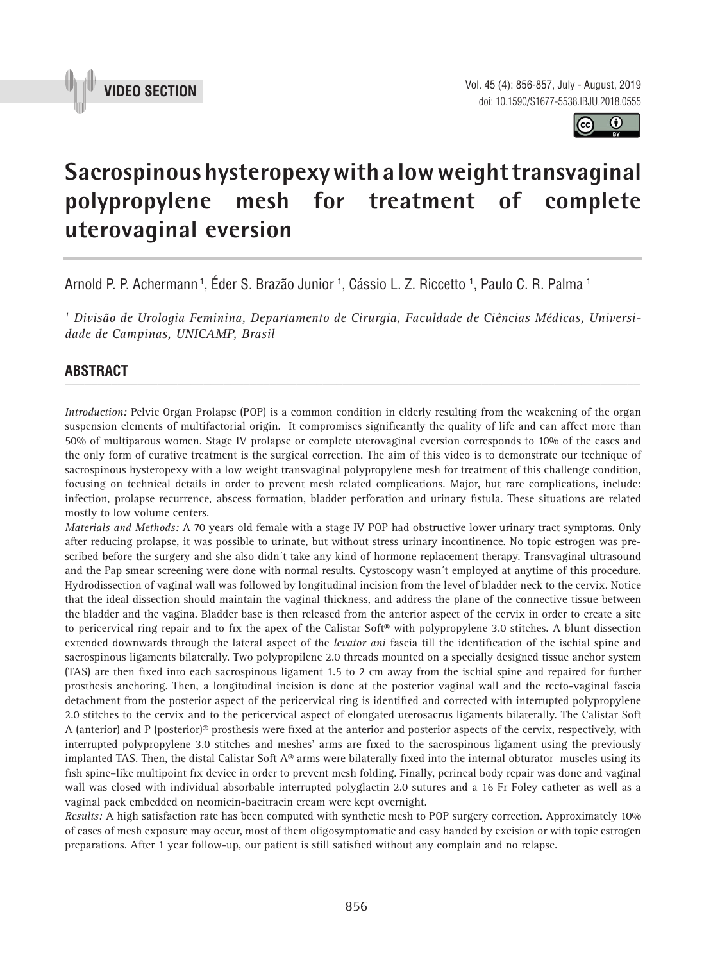



# **Sacrospinous hysteropexy with a low weight transvaginal polypropylene mesh for treatment of complete uterovaginal eversion \_\_\_\_\_\_\_\_\_\_\_\_\_\_\_\_\_\_\_\_\_\_\_\_\_\_\_\_\_\_\_\_\_\_\_\_\_\_\_\_\_\_\_\_\_\_\_**

Arnold P. P. Achermann <sup>1</sup>, Eder S. Brazão Junior <sup>1</sup>, Cássio L. Z. Riccetto <sup>1</sup>, Paulo C. R. Palma <sup>1</sup>

*1 Divisão de Urologia Feminina, Departamento de Cirurgia, Faculdade de Ciências Médicas, Universidade de Campinas, UNICAMP, Brasil*

## **ABSTRACT** *\_\_\_\_\_\_\_\_\_\_\_\_\_\_\_\_\_\_\_\_\_\_\_\_\_\_\_\_\_\_\_\_\_\_\_\_\_\_\_\_\_\_\_\_\_\_\_\_\_\_\_\_\_\_\_\_\_\_\_\_\_\_\_\_\_\_\_\_\_\_\_\_\_\_\_\_\_\_\_\_\_\_\_\_\_\_\_*

*Introduction:* Pelvic Organ Prolapse (POP) is a common condition in elderly resulting from the weakening of the organ suspension elements of multifactorial origin. It compromises significantly the quality of life and can affect more than 50% of multiparous women. Stage IV prolapse or complete uterovaginal eversion corresponds to 10% of the cases and the only form of curative treatment is the surgical correction. The aim of this video is to demonstrate our technique of sacrospinous hysteropexy with a low weight transvaginal polypropylene mesh for treatment of this challenge condition, focusing on technical details in order to prevent mesh related complications. Major, but rare complications, include: infection, prolapse recurrence, abscess formation, bladder perforation and urinary fistula. These situations are related mostly to low volume centers.

*Materials and Methods:* A 70 years old female with a stage IV POP had obstructive lower urinary tract symptoms. Only after reducing prolapse, it was possible to urinate, but without stress urinary incontinence. No topic estrogen was prescribed before the surgery and she also didn´t take any kind of hormone replacement therapy. Transvaginal ultrasound and the Pap smear screening were done with normal results. Cystoscopy wasn´t employed at anytime of this procedure. Hydrodissection of vaginal wall was followed by longitudinal incision from the level of bladder neck to the cervix. Notice that the ideal dissection should maintain the vaginal thickness, and address the plane of the connective tissue between the bladder and the vagina. Bladder base is then released from the anterior aspect of the cervix in order to create a site to pericervical ring repair and to fix the apex of the Calistar Soft® with polypropylene 3.0 stitches. A blunt dissection extended downwards through the lateral aspect of the *levator ani* fascia till the identification of the ischial spine and sacrospinous ligaments bilaterally. Two polypropilene 2.0 threads mounted on a specially designed tissue anchor system (TAS) are then fixed into each sacrospinous ligament 1.5 to 2 cm away from the ischial spine and repaired for further prosthesis anchoring. Then, a longitudinal incision is done at the posterior vaginal wall and the recto-vaginal fascia detachment from the posterior aspect of the pericervical ring is identified and corrected with interrupted polypropylene 2.0 stitches to the cervix and to the pericervical aspect of elongated uterosacrus ligaments bilaterally. The Calistar Soft A (anterior) and P (posterior)® prosthesis were fixed at the anterior and posterior aspects of the cervix, respectively, with interrupted polypropylene 3.0 stitches and meshes' arms are fixed to the sacrospinous ligament using the previously implanted TAS. Then, the distal Calistar Soft  $A<sup>®</sup>$  arms were bilaterally fixed into the internal obturator muscles using its fish spine–like multipoint fix device in order to prevent mesh folding. Finally, perineal body repair was done and vaginal wall was closed with individual absorbable interrupted polyglactin 2.0 sutures and a 16 Fr Foley catheter as well as a vaginal pack embedded on neomicin-bacitracin cream were kept overnight.

*Results:* A high satisfaction rate has been computed with synthetic mesh to POP surgery correction. Approximately 10% of cases of mesh exposure may occur, most of them oligosymptomatic and easy handed by excision or with topic estrogen preparations. After 1 year follow-up, our patient is still satisfied without any complain and no relapse.